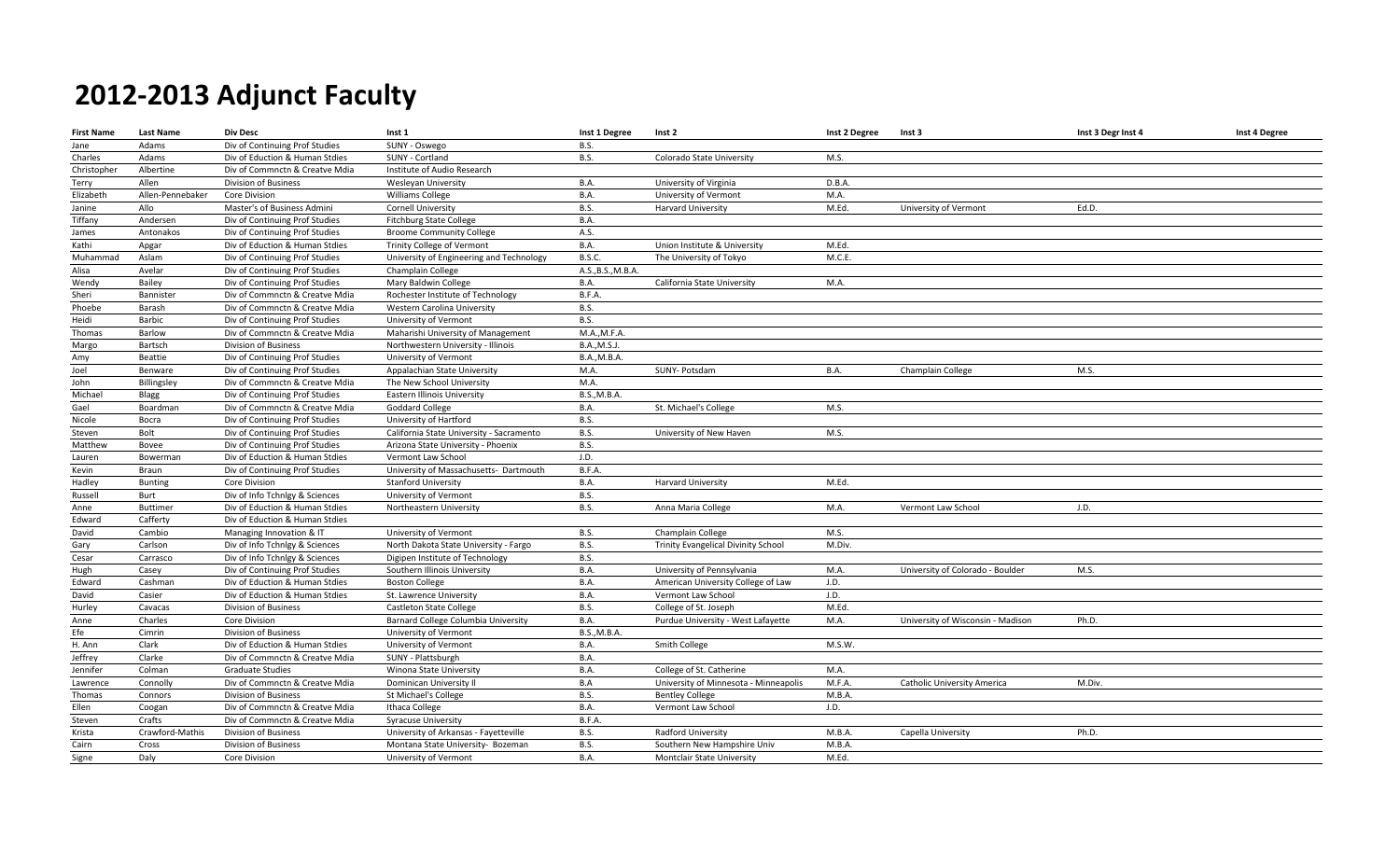| <b>First Name</b> | <b>Last Name</b> | <b>Div Desc</b>                | Inst 1                                   | Inst 1 Degree       | Inst 2                                | Inst 2 Degree | Inst 3                            | Inst 3 Degr Inst 4 | Inst 4 Degree |
|-------------------|------------------|--------------------------------|------------------------------------------|---------------------|---------------------------------------|---------------|-----------------------------------|--------------------|---------------|
| Jane              | Adams            | Div of Continuing Prof Studies | SUNY - Oswego                            | <b>B.S.</b>         |                                       |               |                                   |                    |               |
| Charles           | Adams            | Div of Eduction & Human Stdies | SUNY - Cortland                          | <b>B.S.</b>         | Colorado State University             | M.S.          |                                   |                    |               |
| Christopher       | Albertine        | Div of Commnctn & Creatve Mdia | Institute of Audio Research              |                     |                                       |               |                                   |                    |               |
| Terry             | Allen            | <b>Division of Business</b>    | Wesleyan University                      | B.A.                | University of Virginia                | D.B.A.        |                                   |                    |               |
| Elizabeth         | Allen-Pennebaker | Core Division                  | <b>Williams College</b>                  | B.A.                | University of Vermont                 | M.A.          |                                   |                    |               |
| Janine            | Allo             | Master's of Business Admini    | <b>Cornell University</b>                | <b>B.S.</b>         | <b>Harvard University</b>             | M.Ed.         | University of Vermont             | Ed.D.              |               |
| Tiffany           | Andersen         | Div of Continuing Prof Studies | <b>Fitchburg State College</b>           | B.A.                |                                       |               |                                   |                    |               |
| James             | Antonakos        | Div of Continuing Prof Studies | <b>Broome Community College</b>          | A.S.                |                                       |               |                                   |                    |               |
| Kathi             | Apgar            | Div of Eduction & Human Stdies | Trinity College of Vermont               | B.A.                | Union Institute & University          | M.Ed.         |                                   |                    |               |
| Muhammad          | Aslam            | Div of Continuing Prof Studies | University of Engineering and Technology | B.S.C.              | The University of Tokyo               | M.C.E.        |                                   |                    |               |
| Alisa             | Avelar           | Div of Continuing Prof Studies | Champlain College                        | A.S., B.S., M.B.A.  |                                       |               |                                   |                    |               |
| Wendy             | Bailey           | Div of Continuing Prof Studies | Mary Baldwin College                     | B.A.                | California State University           | M.A.          |                                   |                    |               |
| Sheri             | Bannister        | Div of Commnctn & Creatve Mdia | Rochester Institute of Technology        | B.F.A.              |                                       |               |                                   |                    |               |
| Phoebe            | Barash           | Div of Commnctn & Creatve Mdia | Western Carolina University              | <b>B.S.</b>         |                                       |               |                                   |                    |               |
| Heidi             | Barbic           | Div of Continuing Prof Studies | University of Vermont                    | <b>B.S.</b>         |                                       |               |                                   |                    |               |
| Thomas            | Barlow           | Div of Commnctn & Creatve Mdia | Maharishi University of Management       | M.A., M.F.A.        |                                       |               |                                   |                    |               |
| Margo             | Bartsch          | Division of Business           | Northwestern University - Illinois       | <b>B.A., M.S.J.</b> |                                       |               |                                   |                    |               |
| Amy               | Beattie          | Div of Continuing Prof Studies | University of Vermont                    | <b>B.A., M.B.A.</b> |                                       |               |                                   |                    |               |
| Joel              | Benware          | Div of Continuing Prof Studies | Appalachian State University             | M.A.                | SUNY- Potsdam                         | <b>B.A.</b>   | Champlain College                 | M.S.               |               |
| John              | Billingsley      | Div of Commnctn & Creatve Mdia | The New School University                | M.A.                |                                       |               |                                   |                    |               |
| Michael           | Blagg            | Div of Continuing Prof Studies | Eastern Illinois University              | <b>B.S., M.B.A.</b> |                                       |               |                                   |                    |               |
| Gael              | Boardman         | Div of Commnctn & Creatve Mdia | <b>Goddard College</b>                   | <b>B.A.</b>         | St. Michael's College                 | M.S.          |                                   |                    |               |
| Nicole            | Bocra            | Div of Continuing Prof Studies | University of Hartford                   | <b>B.S.</b>         |                                       |               |                                   |                    |               |
| Steven            | Bolt             | Div of Continuing Prof Studies | California State University - Sacramento | <b>B.S.</b>         | University of New Haven               | M.S.          |                                   |                    |               |
| Matthew           | Bovee            | Div of Continuing Prof Studies | Arizona State University - Phoenix       | <b>B.S.</b>         |                                       |               |                                   |                    |               |
| Lauren            | Bowerman         | Div of Eduction & Human Stdies | Vermont Law School                       | J.D.                |                                       |               |                                   |                    |               |
| Kevin             | Braun            | Div of Continuing Prof Studies | University of Massachusetts- Dartmouth   | B.F.A.              |                                       |               |                                   |                    |               |
| Hadley            | <b>Bunting</b>   | Core Division                  | <b>Stanford University</b>               | B.A.                | <b>Harvard University</b>             | M.Ed.         |                                   |                    |               |
| Russell           | Burt             | Div of Info Tchnlgy & Sciences | University of Vermont                    | <b>B.S.</b>         |                                       |               |                                   |                    |               |
| Anne              | Buttimer         | Div of Eduction & Human Stdies | Northeastern University                  | <b>B.S.</b>         | Anna Maria College                    | M.A.          | Vermont Law School                | J.D.               |               |
| Edward            | Cafferty         | Div of Eduction & Human Stdies |                                          |                     |                                       |               |                                   |                    |               |
| David             | Cambio           | Managing Innovation & IT       | University of Vermont                    | <b>B.S.</b>         | Champlain College                     | M.S.          |                                   |                    |               |
| Gary              | Carlson          | Div of Info Tchnlgy & Sciences | North Dakota State University - Fargo    | <b>B.S.</b>         | Trinity Evangelical Divinity School   | M.Div.        |                                   |                    |               |
| Cesar             | Carrasco         | Div of Info Tchnlgy & Sciences | Digipen Institute of Technology          | <b>B.S.</b>         |                                       |               |                                   |                    |               |
| Hugh              | Casey            | Div of Continuing Prof Studies | Southern Illinois University             | B.A.                | University of Pennsylvania            | M.A.          | University of Colorado - Boulder  | M.S.               |               |
| Edward            | Cashman          | Div of Eduction & Human Stdies | <b>Boston College</b>                    | B.A.                | American University College of Law    | J.D.          |                                   |                    |               |
| David             | Casier           | Div of Eduction & Human Stdies | St. Lawrence University                  | B.A.                | Vermont Law School                    | J.D.          |                                   |                    |               |
| Hurley            | Cavacas          | Division of Business           | <b>Castleton State College</b>           | <b>B.S.</b>         | College of St. Joseph                 | M.Ed.         |                                   |                    |               |
| Anne              | Charles          | Core Division                  | Barnard College Columbia University      | B.A.                | Purdue University - West Lafayette    | M.A.          | University of Wisconsin - Madison | Ph.D.              |               |
| Efe               | Cimrin           | <b>Division of Business</b>    | University of Vermont                    | <b>B.S., M.B.A.</b> |                                       |               |                                   |                    |               |
| H. Ann            | Clark            | Div of Eduction & Human Stdies | University of Vermont                    | B.A.                | Smith College                         | M.S.W.        |                                   |                    |               |
| Jeffrey           | Clarke           | Div of Commnctn & Creatve Mdia | SUNY - Plattsburgh                       | B.A.                |                                       |               |                                   |                    |               |
| Jennifer          | Colman           | <b>Graduate Studies</b>        | Winona State University                  | B.A.                | College of St. Catherine              | M.A.          |                                   |                    |               |
| Lawrence          | Connolly         | Div of Commnctn & Creatve Mdia | Dominican University II                  | B.A                 | University of Minnesota - Minneapolis | M.F.A.        | Catholic University America       | M.Div.             |               |
| Thomas            | Connors          | <b>Division of Business</b>    | St Michael's College                     | <b>B.S.</b>         | <b>Bentley College</b>                | M.B.A.        |                                   |                    |               |
| Ellen             | Coogan           | Div of Commnctn & Creatve Mdia | Ithaca College                           | B.A.                | Vermont Law School                    | J.D.          |                                   |                    |               |
| Steven            | Crafts           | Div of Commnctn & Creatve Mdia | <b>Syracuse University</b>               | B.F.A.              |                                       |               |                                   |                    |               |
| Krista            | Crawford-Mathis  | Division of Business           | University of Arkansas - Fayetteville    | <b>B.S.</b>         | Radford University                    | M.B.A         | Capella University                | Ph.D.              |               |
| Cairn             | Cross            | <b>Division of Business</b>    | Montana State University- Bozeman        | <b>B.S.</b>         | Southern New Hampshire Univ           | M.B.A         |                                   |                    |               |
| Signe             | Daly             | <b>Core Division</b>           | University of Vermont                    | <b>B.A.</b>         | Montclair State University            | M.Ed.         |                                   |                    |               |
|                   |                  |                                |                                          |                     |                                       |               |                                   |                    |               |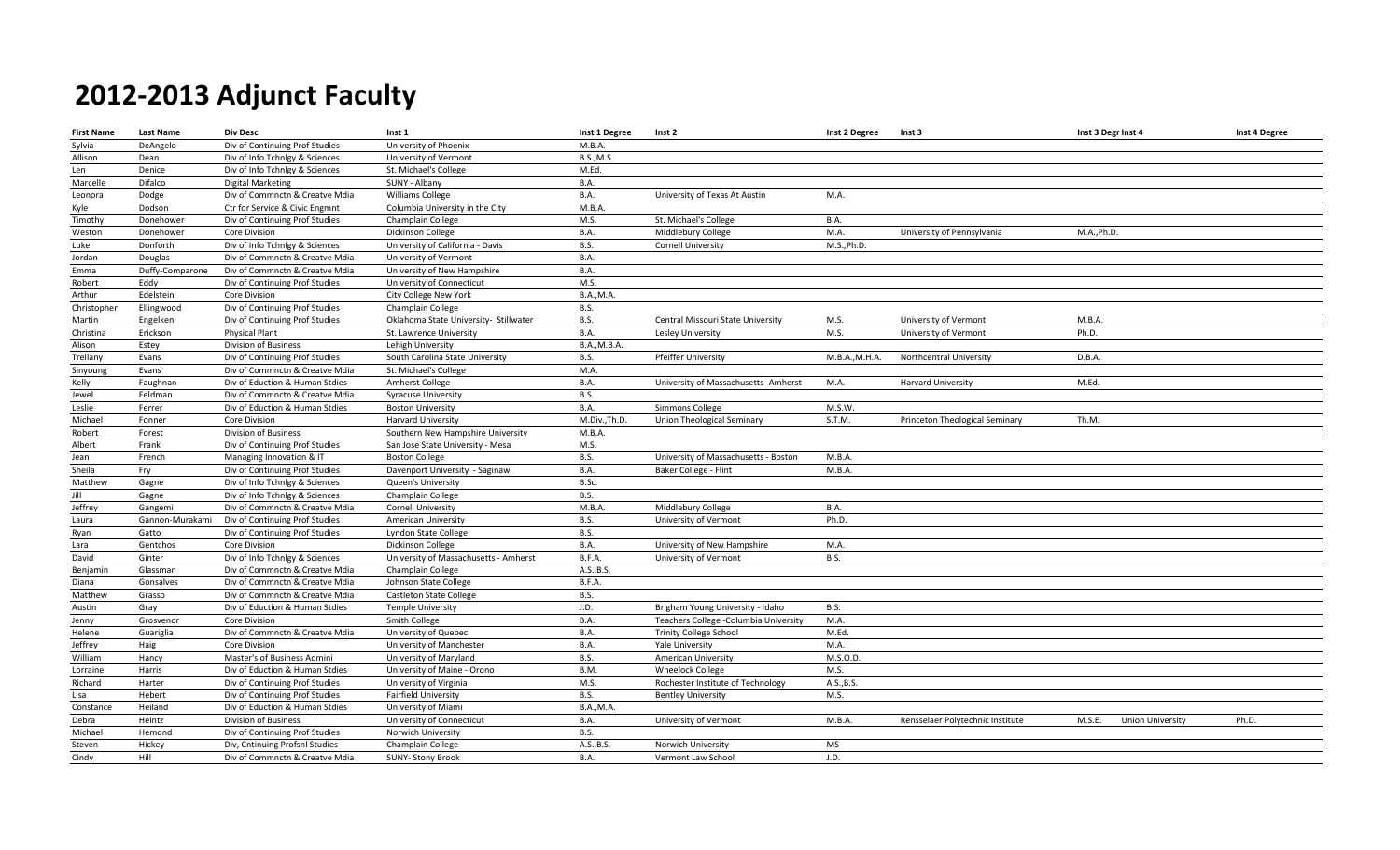| <b>First Name</b> | <b>Last Name</b> | <b>Div Desc</b>                | Inst 1                                | Inst 1 Degree       | Inst 2                                | Inst 2 Degree  | Inst 3                           | Inst 3 Degr Inst 4                | Inst 4 Degree |
|-------------------|------------------|--------------------------------|---------------------------------------|---------------------|---------------------------------------|----------------|----------------------------------|-----------------------------------|---------------|
| Sylvia            | DeAngelo         | Div of Continuing Prof Studies | University of Phoenix                 | M.B.A.              |                                       |                |                                  |                                   |               |
| Allison           | Dean             | Div of Info Tchnlgy & Sciences | University of Vermont                 | <b>B.S., M.S.</b>   |                                       |                |                                  |                                   |               |
| Len               | Denice           | Div of Info Tchnlgy & Sciences | St. Michael's College                 | M.Ed.               |                                       |                |                                  |                                   |               |
| Marcelle          | Difalco          | <b>Digital Marketing</b>       | SUNY - Albany                         | <b>B.A.</b>         |                                       |                |                                  |                                   |               |
| Leonora           | Dodge            | Div of Commnctn & Creatve Mdia | Williams College                      | <b>B.A.</b>         | University of Texas At Austin         | M.A.           |                                  |                                   |               |
| Kyle              | Dodson           | Ctr for Service & Civic Engmnt | Columbia University in the City       | M.B.A               |                                       |                |                                  |                                   |               |
| Timothy           | Donehower        | Div of Continuing Prof Studies | Champlain College                     | M.S.                | St. Michael's College                 | <b>B.A.</b>    |                                  |                                   |               |
| Weston            | Donehower        | Core Division                  | Dickinson College                     | <b>B.A.</b>         | Middlebury College                    | M.A.           | University of Pennsylvania       | M.A., Ph.D.                       |               |
| Luke              | Donforth         | Div of Info Tchnlgy & Sciences | University of California - Davis      | <b>B.S.</b>         | <b>Cornell University</b>             | M.S., Ph.D.    |                                  |                                   |               |
| Jordan            | Douglas          | Div of Commnctn & Creatve Mdia | University of Vermont                 | <b>B.A.</b>         |                                       |                |                                  |                                   |               |
| Emma              | Duffy-Comparone  | Div of Commnctn & Creatve Mdia | University of New Hampshire           | B.A.                |                                       |                |                                  |                                   |               |
| Robert            | Eddy             | Div of Continuing Prof Studies | University of Connecticut             | M.S.                |                                       |                |                                  |                                   |               |
| Arthur            | Edelstein        | Core Division                  | City College New York                 | <b>B.A., M.A.</b>   |                                       |                |                                  |                                   |               |
| Christopher       | Ellingwood       | Div of Continuing Prof Studies | Champlain College                     | <b>B.S.</b>         |                                       |                |                                  |                                   |               |
| Martin            | Engelken         | Div of Continuing Prof Studies | Oklahoma State University- Stillwater | <b>B.S.</b>         | Central Missouri State University     | M.S.           | University of Vermont            | M.B.A.                            |               |
| Christina         | Erickson         | <b>Physical Plant</b>          | St. Lawrence University               | <b>B.A.</b>         | Lesley University                     | M.S.           | University of Vermont            | Ph.D.                             |               |
| Alison            | Estey            | Division of Business           | Lehigh University                     | <b>B.A., M.B.A.</b> |                                       |                |                                  |                                   |               |
| Trellany          | Evans            | Div of Continuing Prof Studies | South Carolina State University       | <b>B.S.</b>         | Pfeiffer University                   | M.B.A., M.H.A. | Northcentral University          | D.B.A.                            |               |
| Sinyoung          | Evans            | Div of Commnctn & Creatve Mdia | St. Michael's College                 | M.A.                |                                       |                |                                  |                                   |               |
| Kelly             | Faughnan         | Div of Eduction & Human Stdies | Amherst College                       | <b>B.A.</b>         | University of Massachusetts - Amherst | M.A.           | Harvard University               | M.Ed.                             |               |
| Jewel             | Feldman          | Div of Commnctn & Creatve Mdia | <b>Syracuse University</b>            | <b>B.S.</b>         |                                       |                |                                  |                                   |               |
| Leslie            | Ferrer           | Div of Eduction & Human Stdies | <b>Boston University</b>              | <b>B.A.</b>         | Simmons College                       | M.S.W.         |                                  |                                   |               |
| Michael           | Fonner           | <b>Core Division</b>           | <b>Harvard University</b>             | M.Div., Th.D.       | Union Theological Seminary            | S.T.M.         | Princeton Theological Seminary   | Th.M.                             |               |
| Robert            | Forest           | <b>Division of Business</b>    | Southern New Hampshire University     | M.B.A               |                                       |                |                                  |                                   |               |
| Albert            | Frank            | Div of Continuing Prof Studies | San Jose State University - Mesa      | M.S.                |                                       |                |                                  |                                   |               |
| Jean              | French           | Managing Innovation & IT       | <b>Boston College</b>                 | <b>B.S.</b>         | University of Massachusetts - Boston  | M.B.A          |                                  |                                   |               |
| Sheila            | Fry              | Div of Continuing Prof Studies | Davenport University - Saginaw        | <b>B.A.</b>         | Baker College - Flint                 | M.B.A.         |                                  |                                   |               |
| Matthew           | Gagne            | Div of Info Tchnlgy & Sciences | Queen's University                    | B.Sc.               |                                       |                |                                  |                                   |               |
| Jill              | Gagne            | Div of Info Tchnlgy & Sciences | Champlain College                     | <b>B.S.</b>         |                                       |                |                                  |                                   |               |
| Jeffrey           | Gangemi          | Div of Commnctn & Creatve Mdia | <b>Cornell University</b>             | M.B.A.              | Middlebury College                    | <b>B.A.</b>    |                                  |                                   |               |
| Laura             | Gannon-Murakami  | Div of Continuing Prof Studies | American University                   | <b>B.S.</b>         | University of Vermont                 | Ph.D.          |                                  |                                   |               |
| Ryan              | Gatto            | Div of Continuing Prof Studies | Lyndon State College                  | <b>B.S.</b>         |                                       |                |                                  |                                   |               |
| Lara              | Gentchos         | Core Division                  | Dickinson College                     | <b>B.A.</b>         | University of New Hampshire           | M.A.           |                                  |                                   |               |
| David             | Ginter           | Div of Info Tchnlgy & Sciences | University of Massachusetts - Amherst | B.F.A.              | University of Vermont                 | B.S.           |                                  |                                   |               |
| Benjamin          | Glassman         | Div of Commnctn & Creatve Mdia | Champlain College                     | A.S., B.S.          |                                       |                |                                  |                                   |               |
| Diana             | Gonsalves        | Div of Commnctn & Creatve Mdia | Johnson State College                 | B.F.A.              |                                       |                |                                  |                                   |               |
| Matthew           | Grasso           | Div of Commnctn & Creatve Mdia | <b>Castleton State College</b>        | <b>B.S.</b>         |                                       |                |                                  |                                   |               |
| Austin            | Gray             | Div of Eduction & Human Stdies | <b>Temple University</b>              | J.D.                | Brigham Young University - Idaho      | <b>B.S.</b>    |                                  |                                   |               |
| Jenny             | Grosvenor        | <b>Core Division</b>           | Smith College                         | <b>B.A.</b>         | Teachers College -Columbia University | M.A.           |                                  |                                   |               |
| Helene            | Guariglia        | Div of Commnctn & Creatve Mdia | University of Quebec                  | <b>B.A.</b>         | <b>Trinity College School</b>         | M.Ed.          |                                  |                                   |               |
| Jeffrey           | Haig             | <b>Core Division</b>           | University of Manchester              | <b>B.A.</b>         | <b>Yale University</b>                | M.A.           |                                  |                                   |               |
| William           | Hancy            | Master's of Business Admini    | University of Maryland                | <b>B.S.</b>         | American University                   | M.S.O.D.       |                                  |                                   |               |
| Lorraine          | Harris           | Div of Eduction & Human Stdies | University of Maine - Orono           | B.M.                | <b>Wheelock College</b>               | M.S.           |                                  |                                   |               |
| Richard           | Harter           | Div of Continuing Prof Studies | University of Virginia                | M.S.                | Rochester Institute of Technology     | A.S., B.S.     |                                  |                                   |               |
| Lisa              | Hebert           | Div of Continuing Prof Studies | <b>Fairfield University</b>           | <b>B.S.</b>         | <b>Bentley University</b>             | M.S.           |                                  |                                   |               |
| Constance         | Heiland          | Div of Eduction & Human Stdies | University of Miami                   | <b>B.A., M.A.</b>   |                                       |                |                                  |                                   |               |
| Debra             | Heintz           | <b>Division of Business</b>    | University of Connecticut             | <b>B.A.</b>         | University of Vermont                 | M.B.A          | Rensselaer Polytechnic Institute | M.S.E.<br><b>Union University</b> | Ph.D.         |
| Michael           | Hemond           | Div of Continuing Prof Studies | Norwich University                    | <b>B.S.</b>         |                                       |                |                                  |                                   |               |
| Steven            | Hickey           | Div, Cntinuing Profsnl Studies | Champlain College                     | A.S., B.S.          | Norwich University                    | MS             |                                  |                                   |               |
| Cindy             | Hill             | Div of Commnctn & Creatve Mdia | <b>SUNY- Stony Brook</b>              | <b>B.A.</b>         | Vermont Law School                    | J.D.           |                                  |                                   |               |
|                   |                  |                                |                                       |                     |                                       |                |                                  |                                   |               |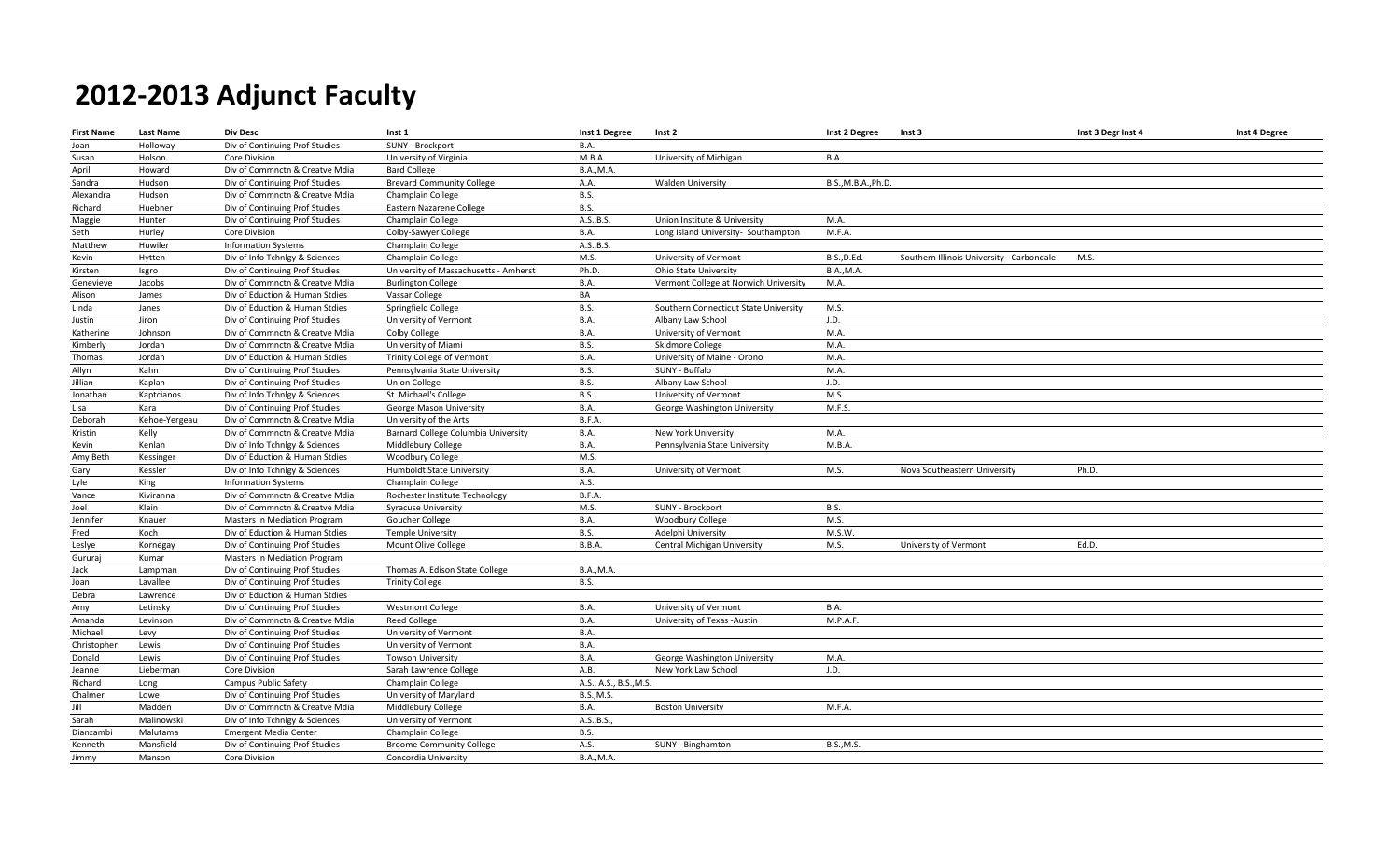| <b>First Name</b> | <b>Last Name</b> | <b>Div Desc</b>                | Inst 1                                | Inst 1 Degree          | Inst 2                                | Inst 2 Degree       | Inst 3                                    | Inst 3 Degr Inst 4 | Inst 4 Degree |
|-------------------|------------------|--------------------------------|---------------------------------------|------------------------|---------------------------------------|---------------------|-------------------------------------------|--------------------|---------------|
| Joan              | Holloway         | Div of Continuing Prof Studies | SUNY - Brockport                      | B.A.                   |                                       |                     |                                           |                    |               |
| Susan             | Holson           | <b>Core Division</b>           | University of Virginia                | M.B.A.                 | University of Michigan                | <b>B.A.</b>         |                                           |                    |               |
| April             | Howard           | Div of Commnctn & Creatve Mdia | <b>Bard College</b>                   | <b>B.A., M.A.</b>      |                                       |                     |                                           |                    |               |
| Sandra            | Hudson           | Div of Continuing Prof Studies | <b>Brevard Community College</b>      | A.A.                   | <b>Walden University</b>              | B.S., M.B.A., Ph.D. |                                           |                    |               |
| Alexandra         | Hudson           | Div of Commnctn & Creatve Mdia | Champlain College                     | <b>B.S.</b>            |                                       |                     |                                           |                    |               |
| Richard           | Huebner          | Div of Continuing Prof Studies | Eastern Nazarene College              | <b>B.S.</b>            |                                       |                     |                                           |                    |               |
| Maggie            | Hunter           | Div of Continuing Prof Studies | Champlain College                     | A.S., B.S.             | Union Institute & University          | M.A.                |                                           |                    |               |
| Seth              | Hurley           | Core Division                  | Colby-Sawyer College                  | <b>B.A.</b>            | Long Island University- Southampton   | M.F.A.              |                                           |                    |               |
| Matthew           | Huwiler          | <b>Information Systems</b>     | Champlain College                     | A.S., B.S.             |                                       |                     |                                           |                    |               |
| Kevin             | Hytten           | Div of Info Tchnlgy & Sciences | Champlain College                     | M.S.                   | University of Vermont                 | <b>B.S., D.Ed.</b>  | Southern Illinois University - Carbondale | M.S.               |               |
| Kirsten           | Isgro            | Div of Continuing Prof Studies | University of Massachusetts - Amherst | Ph.D.                  | Ohio State University                 | <b>B.A., M.A.</b>   |                                           |                    |               |
| Genevieve         | Jacobs           | Div of Commnctn & Creatve Mdia | <b>Burlington College</b>             | <b>B.A.</b>            | Vermont College at Norwich University | M.A.                |                                           |                    |               |
| Alison            | James            | Div of Eduction & Human Stdies | Vassar College                        | BA                     |                                       |                     |                                           |                    |               |
| Linda             | Janes            | Div of Eduction & Human Stdies | Springfield College                   | <b>B.S.</b>            | Southern Connecticut State University | M.S.                |                                           |                    |               |
| Justin            | Jiron            | Div of Continuing Prof Studies | University of Vermont                 | <b>B.A.</b>            | Albany Law School                     | J.D.                |                                           |                    |               |
| Katherine         | Johnson          | Div of Commnctn & Creatve Mdia | <b>Colby College</b>                  | B.A.                   | University of Vermont                 | M.A.                |                                           |                    |               |
| Kimberly          | Jordan           | Div of Commnctn & Creatve Mdia | University of Miami                   | <b>B.S.</b>            | Skidmore College                      | M.A.                |                                           |                    |               |
| Thomas            | Jordan           | Div of Eduction & Human Stdies | Trinity College of Vermont            | B.A.                   | University of Maine - Orono           | M.A.                |                                           |                    |               |
| Allyn             | Kahn             | Div of Continuing Prof Studies | Pennsylvania State University         | B.S.                   | SUNY - Buffalo                        | M.A.                |                                           |                    |               |
| Jillian           | Kaplan           | Div of Continuing Prof Studies | <b>Union College</b>                  | <b>B.S.</b>            | Albany Law School                     | J.D.                |                                           |                    |               |
| Jonathan          | Kaptcianos       | Div of Info Tchnlgy & Sciences | St. Michael's College                 | <b>B.S.</b>            | University of Vermont                 | M.S.                |                                           |                    |               |
| Lisa              | Kara             | Div of Continuing Prof Studies | George Mason University               | B.A.                   | George Washington University          | M.F.S.              |                                           |                    |               |
| Deborah           | Kehoe-Yergeau    | Div of Commnctn & Creatve Mdia | University of the Arts                | B.F.A.                 |                                       |                     |                                           |                    |               |
| Kristin           | Kelly            | Div of Commnctn & Creatve Mdia | Barnard College Columbia University   | <b>B.A.</b>            | New York University                   | M.A.                |                                           |                    |               |
| Kevin             | Kenlan           | Div of Info Tchnlgy & Sciences | Middlebury College                    | B.A.                   | Pennsylvania State University         | M.B.A               |                                           |                    |               |
| Amy Beth          | Kessinger        | Div of Eduction & Human Stdies | Woodbury College                      | M.S.                   |                                       |                     |                                           |                    |               |
| Gary              | Kessler          | Div of Info Tchnlgy & Sciences | Humboldt State University             | <b>B.A.</b>            | University of Vermont                 | M.S.                | Nova Southeastern University              | Ph.D.              |               |
| Lyle              | King             | <b>Information Systems</b>     | Champlain College                     | A.S.                   |                                       |                     |                                           |                    |               |
| Vance             | Kiviranna        | Div of Commnctn & Creatve Mdia | Rochester Institute Technology        | B.F.A.                 |                                       |                     |                                           |                    |               |
| Joel              | Klein            | Div of Commnctn & Creatve Mdia | <b>Syracuse University</b>            | M.S.                   | SUNY - Brockport                      | B.S.                |                                           |                    |               |
| Jennifer          | Knauer           | Masters in Mediation Program   | Goucher College                       | B.A.                   | Woodbury College                      | M.S.                |                                           |                    |               |
| Fred              | Koch             | Div of Eduction & Human Stdies | <b>Temple University</b>              | B.S.                   | Adelphi University                    | M.S.W.              |                                           |                    |               |
| Leslye            | Kornegay         | Div of Continuing Prof Studies | Mount Olive College                   | B.B.A.                 | Central Michigan University           | M.S.                | University of Vermont                     | Ed.D.              |               |
| Gururaj           | Kumar            | Masters in Mediation Program   |                                       |                        |                                       |                     |                                           |                    |               |
| Jack              | Lampman          | Div of Continuing Prof Studies | Thomas A. Edison State College        | <b>B.A., M.A.</b>      |                                       |                     |                                           |                    |               |
| Joan              | Lavallee         | Div of Continuing Prof Studies | <b>Trinity College</b>                | <b>B.S.</b>            |                                       |                     |                                           |                    |               |
| Debra             | Lawrence         | Div of Eduction & Human Stdies |                                       |                        |                                       |                     |                                           |                    |               |
| Amy               | Letinsky         | Div of Continuing Prof Studies | <b>Westmont College</b>               | <b>B.A.</b>            | University of Vermont                 | <b>B.A.</b>         |                                           |                    |               |
| Amanda            | Levinson         | Div of Commnctn & Creatve Mdia | <b>Reed College</b>                   | B.A.                   | University of Texas -Austin           | M.P.A.F.            |                                           |                    |               |
| Michael           | Levy             | Div of Continuing Prof Studies | University of Vermont                 | <b>B.A.</b>            |                                       |                     |                                           |                    |               |
| Christopher       | Lewis            | Div of Continuing Prof Studies | University of Vermont                 | <b>B.A.</b>            |                                       |                     |                                           |                    |               |
| Donald            | Lewis            | Div of Continuing Prof Studies | <b>Towson University</b>              | B.A.                   | George Washington University          | M.A.                |                                           |                    |               |
| Jeanne            | Lieberman        | Core Division                  | Sarah Lawrence College                | A.B.                   | New York Law School                   | J.D.                |                                           |                    |               |
| Richard           | Long             | Campus Public Safety           | Champlain College                     | A.S., A.S., B.S., M.S. |                                       |                     |                                           |                    |               |
| Chalmer           | Lowe             | Div of Continuing Prof Studies | University of Maryland                | <b>B.S., M.S.</b>      |                                       |                     |                                           |                    |               |
| Jill              | Madden           | Div of Commnctn & Creatve Mdia | Middlebury College                    | <b>B.A.</b>            | <b>Boston University</b>              | M.F.A.              |                                           |                    |               |
| Sarah             | Malinowski       | Div of Info Tchnlgy & Sciences | University of Vermont                 | A.S., B.S.             |                                       |                     |                                           |                    |               |
| Dianzambi         | Malutama         | <b>Emergent Media Center</b>   | Champlain College                     | <b>B.S.</b>            |                                       |                     |                                           |                    |               |
| Kenneth           | Mansfield        | Div of Continuing Prof Studies | <b>Broome Community College</b>       | A.S.                   | SUNY- Binghamton                      | <b>B.S., M.S.</b>   |                                           |                    |               |
| Jimmy             | Manson           | Core Division                  | Concordia University                  | <b>B.A.,M.A.</b>       |                                       |                     |                                           |                    |               |
|                   |                  |                                |                                       |                        |                                       |                     |                                           |                    |               |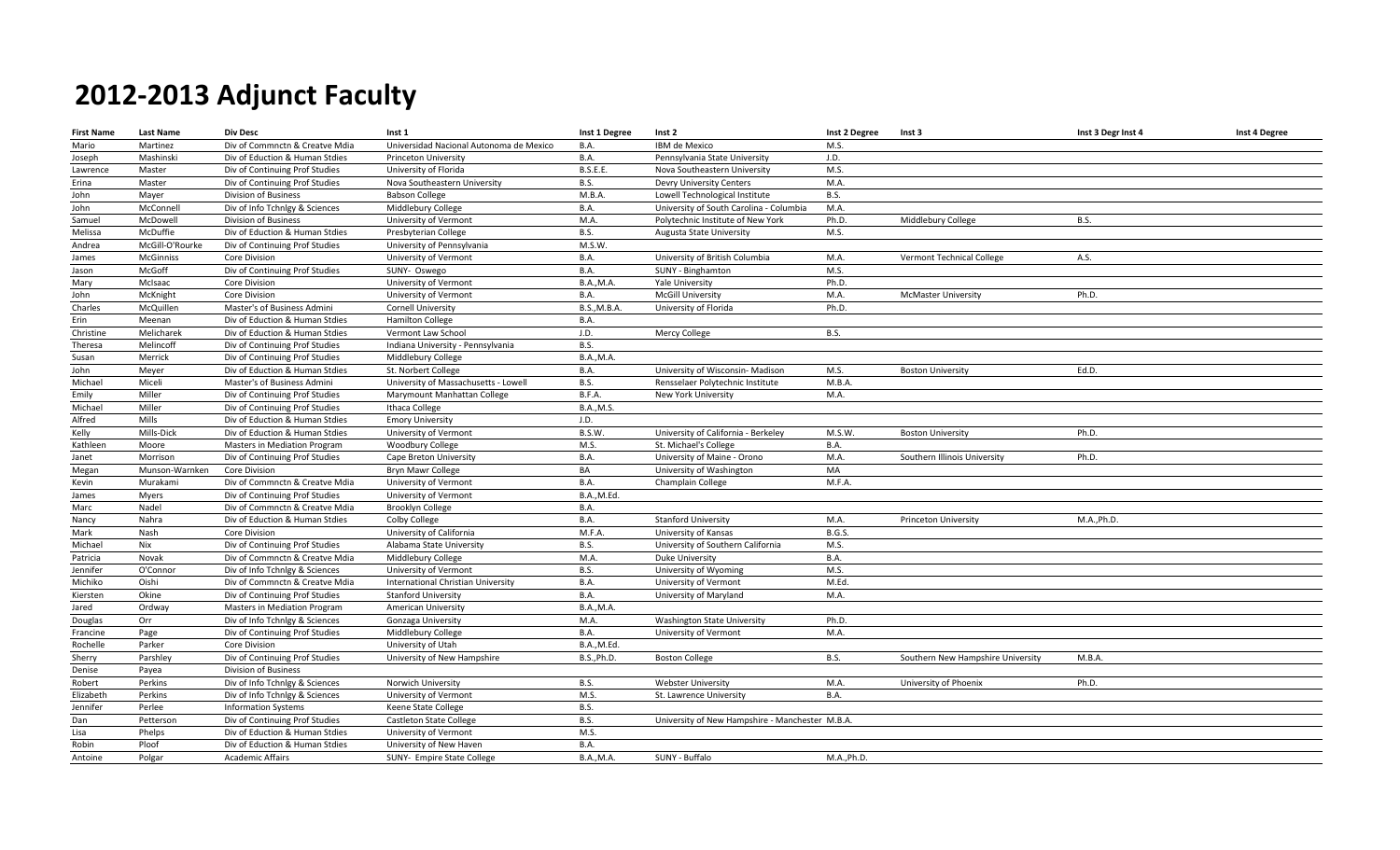| <b>First Name</b> | <b>Last Name</b> | Div Desc                       | Inst 1                                  | Inst 1 Degree       | Inst 2                                          | Inst 2 Degree | Inst 3                            | Inst 3 Degr Inst 4 | Inst 4 Degree |
|-------------------|------------------|--------------------------------|-----------------------------------------|---------------------|-------------------------------------------------|---------------|-----------------------------------|--------------------|---------------|
| Mario             | Martinez         | Div of Commnctn & Creatve Mdia | Universidad Nacional Autonoma de Mexico | <b>B.A.</b>         | IBM de Mexico                                   | M.S.          |                                   |                    |               |
| Joseph            | Mashinski        | Div of Eduction & Human Stdies | Princeton University                    | <b>B.A.</b>         | Pennsylvania State University                   | J.D.          |                                   |                    |               |
| Lawrence          | Master           | Div of Continuing Prof Studies | University of Florida                   | <b>B.S.E.E.</b>     | Nova Southeastern University                    | M.S.          |                                   |                    |               |
| Erina             | Master           | Div of Continuing Prof Studies | Nova Southeastern University            | <b>B.S.</b>         | Devry University Centers                        | M.A.          |                                   |                    |               |
| John              | Mayer            | Division of Business           | <b>Babson College</b>                   | M.B.A.              | Lowell Technological Institute                  | <b>B.S.</b>   |                                   |                    |               |
| John              | McConnell        | Div of Info Tchnlgy & Sciences | Middlebury College                      | <b>B.A.</b>         | University of South Carolina - Columbia         | M.A.          |                                   |                    |               |
| Samuel            | McDowell         | Division of Business           | University of Vermont                   | M.A.                | Polytechnic Institute of New York               | Ph.D.         | Middlebury College                | B.S.               |               |
| Melissa           | McDuffie         | Div of Eduction & Human Stdies | Presbyterian College                    | <b>B.S.</b>         | Augusta State University                        | M.S.          |                                   |                    |               |
| Andrea            | McGill-O'Rourke  | Div of Continuing Prof Studies | University of Pennsylvania              | M.S.W               |                                                 |               |                                   |                    |               |
| James             | <b>McGinniss</b> | <b>Core Division</b>           | University of Vermont                   | B.A.                | University of British Columbia                  | M.A.          | Vermont Technical College         | A.S.               |               |
| Jason             | McGoff           | Div of Continuing Prof Studies | SUNY- Oswego                            | <b>B.A.</b>         | SUNY - Binghamton                               | M.S.          |                                   |                    |               |
| Mary              | McIsaac          | <b>Core Division</b>           | University of Vermont                   | <b>B.A., M.A.</b>   | Yale University                                 | Ph.D.         |                                   |                    |               |
| John              | McKnight         | <b>Core Division</b>           | University of Vermont                   | <b>B.A.</b>         | <b>McGill University</b>                        | M.A.          | <b>McMaster University</b>        | Ph.D.              |               |
| Charles           | McQuillen        | Master's of Business Admini    | <b>Cornell University</b>               | <b>B.S., M.B.A.</b> | University of Florida                           | Ph.D.         |                                   |                    |               |
| Erin              | Meenan           | Div of Eduction & Human Stdies | <b>Hamilton College</b>                 | B.A.                |                                                 |               |                                   |                    |               |
| Christine         | Melicharek       | Div of Eduction & Human Stdies | Vermont Law School                      | J.D.                | Mercy College                                   | B.S.          |                                   |                    |               |
| Theresa           | Melincoff        | Div of Continuing Prof Studies | Indiana University - Pennsylvania       | B.S.                |                                                 |               |                                   |                    |               |
| Susan             | Merrick          | Div of Continuing Prof Studies | Middlebury College                      | <b>B.A., M.A.</b>   |                                                 |               |                                   |                    |               |
| John              | Meyer            | Div of Eduction & Human Stdies | St. Norbert College                     | B.A.                | University of Wisconsin- Madison                | M.S.          | <b>Boston University</b>          | Ed.D.              |               |
| Michael           | Miceli           | Master's of Business Admini    | University of Massachusetts - Lowell    | <b>B.S.</b>         | Rensselaer Polytechnic Institute                | M.B.A.        |                                   |                    |               |
| Emily             | Miller           | Div of Continuing Prof Studies | Marymount Manhattan College             | B.F.A.              | New York University                             | M.A.          |                                   |                    |               |
| Michael           | Miller           | Div of Continuing Prof Studies | Ithaca College                          | <b>B.A., M.S.</b>   |                                                 |               |                                   |                    |               |
| Alfred            | Mills            | Div of Eduction & Human Stdies | <b>Emory University</b>                 | J.D.                |                                                 |               |                                   |                    |               |
| Kelly             | Mills-Dick       | Div of Eduction & Human Stdies | University of Vermont                   | B.S.W.              | University of California - Berkeley             | M.S.W.        | <b>Boston University</b>          | Ph.D.              |               |
| Kathleen          | Moore            | Masters in Mediation Program   | Woodbury College                        | M.S.                | St. Michael's College                           | B.A.          |                                   |                    |               |
| Janet             | Morrison         | Div of Continuing Prof Studies | Cape Breton University                  | <b>B.A.</b>         | University of Maine - Orono                     | M.A.          | Southern Illinois University      | Ph.D.              |               |
| Megan             | Munson-Warnken   | <b>Core Division</b>           | <b>Bryn Mawr College</b>                | BA                  | University of Washington                        | MA            |                                   |                    |               |
| Kevin             | Murakami         | Div of Commnctn & Creatve Mdia | University of Vermont                   | <b>B.A.</b>         | Champlain College                               | M.F.A.        |                                   |                    |               |
| James             | Myers            | Div of Continuing Prof Studies | University of Vermont                   | B.A., M.Ed.         |                                                 |               |                                   |                    |               |
| Marc              | Nadel            | Div of Commnctn & Creatve Mdia | Brooklyn College                        | B.A.                |                                                 |               |                                   |                    |               |
| Nancy             | Nahra            | Div of Eduction & Human Stdies | Colby College                           | <b>B.A.</b>         | <b>Stanford University</b>                      | M.A.          | Princeton University              | M.A., Ph.D.        |               |
| Mark              | Nash             | Core Division                  | University of California                | M.F.A.              | University of Kansas                            | <b>B.G.S.</b> |                                   |                    |               |
| Michael           | Nix              | Div of Continuing Prof Studies | Alabama State University                | <b>B.S.</b>         | University of Southern California               | M.S.          |                                   |                    |               |
| Patricia          | Novak            | Div of Commnctn & Creatve Mdia | Middlebury College                      | M.A.                | Duke University                                 | <b>B.A.</b>   |                                   |                    |               |
| Jennifer          | O'Connor         | Div of Info Tchnlgy & Sciences | University of Vermont                   | <b>B.S.</b>         | University of Wyoming                           | M.S.          |                                   |                    |               |
| Michiko           | Oishi            | Div of Commnctn & Creatve Mdia | International Christian University      | <b>B.A.</b>         | University of Vermont                           | M.Ed.         |                                   |                    |               |
| Kiersten          | Okine            | Div of Continuing Prof Studies | <b>Stanford University</b>              | <b>B.A.</b>         | University of Maryland                          | M.A.          |                                   |                    |               |
| Jared             | Ordway           | Masters in Mediation Program   | American University                     | <b>B.A., M.A.</b>   |                                                 |               |                                   |                    |               |
| Douglas           | Orr              | Div of Info Tchnlgy & Sciences | Gonzaga University                      | M.A.                | <b>Washington State University</b>              | Ph.D.         |                                   |                    |               |
| Francine          | Page             | Div of Continuing Prof Studies | Middlebury College                      | <b>B.A.</b>         | University of Vermont                           | M.A.          |                                   |                    |               |
| Rochelle          | Parker           | <b>Core Division</b>           | University of Utah                      | <b>B.A., M.Ed.</b>  |                                                 |               |                                   |                    |               |
| Sherry            | Parshley         | Div of Continuing Prof Studies | University of New Hampshire             | <b>B.S., Ph.D.</b>  | <b>Boston College</b>                           | <b>B.S.</b>   | Southern New Hampshire University | M.B.A.             |               |
| Denise            | Payea            | Division of Business           |                                         |                     |                                                 |               |                                   |                    |               |
| Robert            | Perkins          | Div of Info Tchnlgy & Sciences | Norwich University                      | <b>B.S.</b>         | <b>Webster University</b>                       | M.A.          | University of Phoenix             | Ph.D.              |               |
| Elizabeth         | Perkins          | Div of Info Tchnlgy & Sciences | University of Vermont                   | M.S.                | St. Lawrence University                         | <b>B.A.</b>   |                                   |                    |               |
| Jennifer          | Perlee           | <b>Information Systems</b>     | Keene State College                     | <b>B.S.</b>         |                                                 |               |                                   |                    |               |
| Dan               | Petterson        | Div of Continuing Prof Studies | Castleton State College                 | <b>B.S.</b>         | University of New Hampshire - Manchester M.B.A. |               |                                   |                    |               |
| Lisa              | Phelps           | Div of Eduction & Human Stdies | University of Vermont                   | M.S.                |                                                 |               |                                   |                    |               |
| Robin             | Ploof            | Div of Eduction & Human Stdies | University of New Haven                 | <b>B.A.</b>         |                                                 |               |                                   |                    |               |
| Antoine           | Polgar           | <b>Academic Affairs</b>        | SUNY- Empire State College              | <b>B.A.,M.A.</b>    | SUNY - Buffalo                                  | M.A., Ph.D.   |                                   |                    |               |
|                   |                  |                                |                                         |                     |                                                 |               |                                   |                    |               |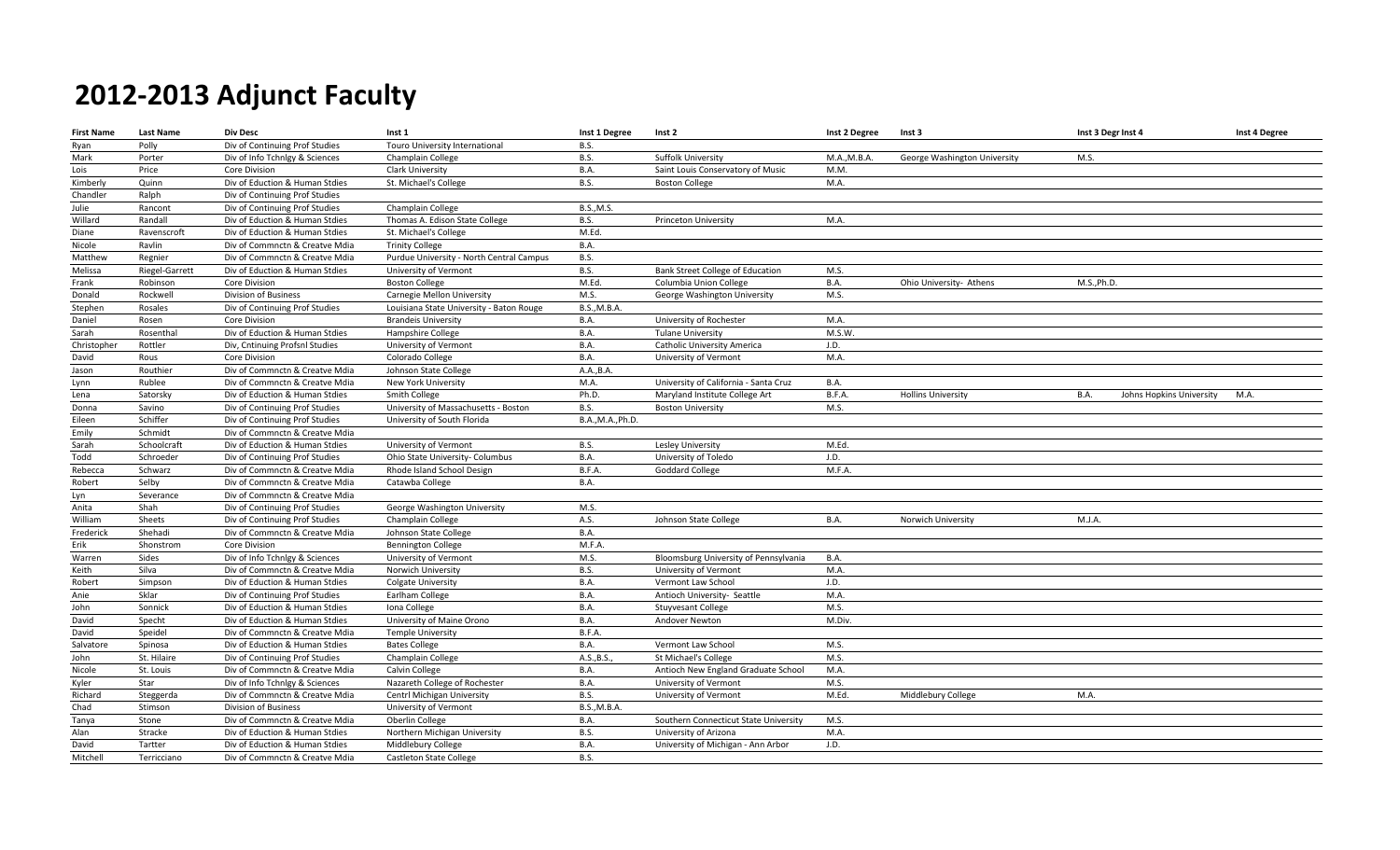| <b>First Name</b> | <b>Last Name</b> | <b>Div Desc</b>                | Inst 1                                   | Inst 1 Degree       | Inst 2                                | Inst 2 Degree | Inst 3                       | Inst 3 Degr Inst 4                      | Inst 4 Degree |
|-------------------|------------------|--------------------------------|------------------------------------------|---------------------|---------------------------------------|---------------|------------------------------|-----------------------------------------|---------------|
| Ryan              | Polly            | Div of Continuing Prof Studies | Touro University International           | <b>B.S.</b>         |                                       |               |                              |                                         |               |
| Mark              | Porter           | Div of Info Tchnlgy & Sciences | Champlain College                        | <b>B.S.</b>         | Suffolk University                    | M.A., M.B.A.  | George Washington University | M.S.                                    |               |
| Lois              | Price            | <b>Core Division</b>           | Clark University                         | B.A.                | Saint Louis Conservatory of Music     | M.M.          |                              |                                         |               |
| Kimberly          | Quinn            | Div of Eduction & Human Stdies | St. Michael's College                    | <b>B.S.</b>         | <b>Boston College</b>                 | M.A.          |                              |                                         |               |
| Chandler          | Ralph            | Div of Continuing Prof Studies |                                          |                     |                                       |               |                              |                                         |               |
| Julie             | Rancont          | Div of Continuing Prof Studies | Champlain College                        | <b>B.S., M.S.</b>   |                                       |               |                              |                                         |               |
| Willard           | Randall          | Div of Eduction & Human Stdies | Thomas A. Edison State College           | <b>B.S.</b>         | Princeton University                  | M.A.          |                              |                                         |               |
| Diane             | Ravenscroft      | Div of Eduction & Human Stdies | St. Michael's College                    | M.Ed.               |                                       |               |                              |                                         |               |
| Nicole            | Ravlin           | Div of Commnctn & Creatve Mdia | <b>Trinity College</b>                   | B.A.                |                                       |               |                              |                                         |               |
| Matthew           | Regnier          | Div of Commnctn & Creatve Mdia | Purdue University - North Central Campus | <b>B.S.</b>         |                                       |               |                              |                                         |               |
| Melissa           | Riegel-Garrett   | Div of Eduction & Human Stdies | University of Vermont                    | <b>B.S.</b>         | Bank Street College of Education      | M.S.          |                              |                                         |               |
| Frank             | Robinson         | Core Division                  | <b>Boston College</b>                    | M.Ed.               | Columbia Union College                | B.A.          | Ohio University- Athens      | M.S., Ph.D.                             |               |
| Donald            | Rockwell         | <b>Division of Business</b>    | Carnegie Mellon University               | M.S.                | George Washington University          | M.S.          |                              |                                         |               |
| Stephen           | Rosales          | Div of Continuing Prof Studies | Louisiana State University - Baton Rouge | <b>B.S., M.B.A.</b> |                                       |               |                              |                                         |               |
| Daniel            | Rosen            | <b>Core Division</b>           | <b>Brandeis University</b>               | B.A.                | University of Rochester               | M.A.          |                              |                                         |               |
| Sarah             | Rosenthal        | Div of Eduction & Human Stdies | Hampshire College                        | B.A.                | <b>Tulane University</b>              | M.S.W.        |                              |                                         |               |
| Christopher       | Rottler          | Div, Cntinuing Profsnl Studies | University of Vermont                    | B.A.                | Catholic University America           | J.D.          |                              |                                         |               |
| David             | Rous             | Core Division                  | Colorado College                         | B.A.                | University of Vermont                 | M.A.          |                              |                                         |               |
| Jason             | Routhier         | Div of Commnctn & Creatve Mdia | Johnson State College                    | A.A., B.A.          |                                       |               |                              |                                         |               |
| Lynn              | Rublee           | Div of Commnctn & Creatve Mdia | New York University                      | M.A.                | University of California - Santa Cruz | B.A.          |                              |                                         |               |
| Lena              | Satorsky         | Div of Eduction & Human Stdies | Smith College                            | Ph.D.               | Maryland Institute College Art        | B.F.A.        | <b>Hollins University</b>    | <b>B.A.</b><br>Johns Hopkins University | M.A.          |
| Donna             | Savino           | Div of Continuing Prof Studies | University of Massachusetts - Boston     | <b>B.S.</b>         | <b>Boston University</b>              | M.S.          |                              |                                         |               |
| Eileen            | Schiffer         | Div of Continuing Prof Studies | University of South Florida              | B.A., M.A., Ph.D.   |                                       |               |                              |                                         |               |
| Emily             | Schmidt          | Div of Commnctn & Creatve Mdia |                                          |                     |                                       |               |                              |                                         |               |
| Sarah             | Schoolcraft      | Div of Eduction & Human Stdies | University of Vermont                    | <b>B.S.</b>         | Lesley University                     | M.Ed.         |                              |                                         |               |
| Todd              | Schroeder        | Div of Continuing Prof Studies | Ohio State University- Columbus          | B.A.                | University of Toledo                  | J.D.          |                              |                                         |               |
| Rebecca           | Schwarz          | Div of Commnctn & Creatve Mdia | Rhode Island School Design               | B.F.A.              | <b>Goddard College</b>                | M.F.A.        |                              |                                         |               |
| Robert            | Selby            | Div of Commnctn & Creatve Mdia | Catawba College                          | B.A.                |                                       |               |                              |                                         |               |
| Lyn               | Severance        | Div of Commnctn & Creatve Mdia |                                          |                     |                                       |               |                              |                                         |               |
| Anita             | Shah             | Div of Continuing Prof Studies | George Washington University             | M.S.                |                                       |               |                              |                                         |               |
| William           | Sheets           | Div of Continuing Prof Studies | Champlain College                        | A.S.                | Johnson State College                 | B.A.          | Norwich University           | M.J.A.                                  |               |
| Frederick         | Shehadi          | Div of Commnctn & Creatve Mdia | Johnson State College                    | B.A.                |                                       |               |                              |                                         |               |
| Erik              | Shonstrom        | Core Division                  | <b>Bennington College</b>                | M.F.A               |                                       |               |                              |                                         |               |
| Warren            | Sides            | Div of Info Tchnlgy & Sciences | University of Vermont                    | M.S.                | Bloomsburg University of Pennsylvania | B.A.          |                              |                                         |               |
| Keith             | Silva            | Div of Commnctn & Creatve Mdia | Norwich University                       | <b>B.S.</b>         | University of Vermont                 | M.A.          |                              |                                         |               |
| Robert            | Simpson          | Div of Eduction & Human Stdies | <b>Colgate University</b>                | B.A.                | Vermont Law School                    | J.D.          |                              |                                         |               |
| Anie              | Sklar            | Div of Continuing Prof Studies | Earlham College                          | B.A.                | Antioch University- Seattle           | M.A.          |                              |                                         |               |
| John              | Sonnick          | Div of Eduction & Human Stdies | Iona College                             | B.A.                | <b>Stuyvesant College</b>             | M.S.          |                              |                                         |               |
| David             | Specht           | Div of Eduction & Human Stdies | University of Maine Orono                | B.A.                | Andover Newton                        | M.Div.        |                              |                                         |               |
| David             | Speidel          | Div of Commnctn & Creatve Mdia | <b>Temple University</b>                 | B.F.A.              |                                       |               |                              |                                         |               |
| Salvatore         | Spinosa          | Div of Eduction & Human Stdies | <b>Bates College</b>                     | B.A.                | Vermont Law School                    | M.S.          |                              |                                         |               |
| John              | St. Hilaire      | Div of Continuing Prof Studies | Champlain College                        | A.S., B.S.          | St Michael's College                  | M.S.          |                              |                                         |               |
| Nicole            | St. Louis        | Div of Commnctn & Creatve Mdia | Calvin College                           | B.A.                | Antioch New England Graduate School   | M.A.          |                              |                                         |               |
| Kyler             | Star             | Div of Info Tchnlgy & Sciences | Nazareth College of Rochester            | <b>B.A.</b>         | University of Vermont                 | M.S.          |                              |                                         |               |
| Richard           | Steggerda        | Div of Commnctn & Creatve Mdia | Centrl Michigan University               | <b>B.S.</b>         | University of Vermont                 | M.Ed.         | Middlebury College           | M.A.                                    |               |
| Chad              | Stimson          | Division of Business           | University of Vermont                    | B.S., M.B.A.        |                                       |               |                              |                                         |               |
| Tanya             | Stone            | Div of Commnctn & Creatve Mdia | Oberlin College                          | B.A.                | Southern Connecticut State University | M.S.          |                              |                                         |               |
| Alan              | Stracke          | Div of Eduction & Human Stdies | Northern Michigan University             | <b>B.S.</b>         | University of Arizona                 | M.A.          |                              |                                         |               |
| David             | Tartter          | Div of Eduction & Human Stdies | Middlebury College                       | B.A.                | University of Michigan - Ann Arbor    | J.D.          |                              |                                         |               |
| Mitchell          | Terricciano      | Div of Commnctn & Creatve Mdia | Castleton State College                  | <b>B.S.</b>         |                                       |               |                              |                                         |               |